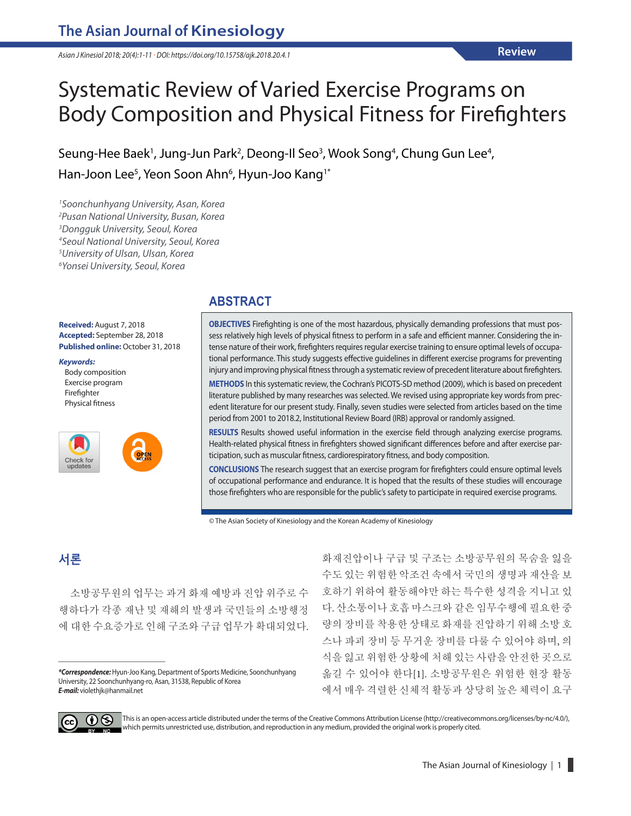*Asian J Kinesiol 2018; 20(4):1-11 · DOI: https://doi.org/10.15758/ajk.2018.20.4.1*

# Systematic Review of Varied Exercise Programs on Body Composition and Physical Fitness for Firefighters

Seung-Hee Baek<sup>1</sup>, Jung-Jun Park<sup>2</sup>, Deong-Il Seo<sup>3</sup>, Wook Song<sup>4</sup>, Chung Gun Lee<sup>4</sup>, Han-Joon Lee<sup>5</sup>, Yeon Soon Ahn<sup>6</sup>, Hyun-Joo Kang<sup>1\*</sup>

 *Soonchunhyang University, Asan, Korea Pusan National University, Busan, Korea Dongguk University, Seoul, Korea Seoul National University, Seoul, Korea University of Ulsan, Ulsan, Korea Yonsei University, Seoul, Korea*

**Received:** August 7, 2018 **Accepted:** September 28, 2018 **Published online:** October 31, 2018

#### *Keywords:*

Body composition Exercise program Firefighter Physical fitness



#### **ABSTRACT**

**OBJECTIVES** Firefighting is one of the most hazardous, physically demanding professions that must possess relatively high levels of physical fitness to perform in a safe and efficient manner. Considering the intense nature of their work, firefighters requires regular exercise training to ensure optimal levels of occupational performance. This study suggests effective guidelines in different exercise programs for preventing injury and improving physical fitness through a systematic review of precedent literature about firefighters.

**METHODS** In this systematic review, the Cochran's PICOTS-SD method (2009), which is based on precedent literature published by many researches was selected. We revised using appropriate key words from precedent literature for our present study. Finally, seven studies were selected from articles based on the time period from 2001 to 2018.2, Institutional Review Board (IRB) approval or randomly assigned.

**RESULTS** Results showed useful information in the exercise field through analyzing exercise programs. Health-related physical fitness in firefighters showed significant differences before and after exercise participation, such as muscular fitness, cardiorespiratory fitness, and body composition.

**CONCLUSIONS** The research suggest that an exercise program for firefighters could ensure optimal levels of occupational performance and endurance. It is hoped that the results of these studies will encourage those firefighters who are responsible for the public's safety to participate in required exercise programs.

© The Asian Society of Kinesiology and the Korean Academy of Kinesiology

## **서론**

소방공무원의 업무는 과거 화재 예방과 진압 위주로 수 행하다가 각종 재난 및 재해의 발생과 국민들의 소방행정 에 대한 수요증가로 인해 구조와 구급 업무가 확대되었다.

*\*Correspondence:*Hyun-Joo Kang, Department of Sports Medicine, Soonchunhyang University, 22 Soonchunhyang-ro, Asan, 31538, Republic of Korea *E-mail:* violethjk@hanmail.net

화재진압이나 구급 및 구조는 소방공무원의 목숨을 잃을 수도 있는 위험한 악조건 속에서 국민의 생명과 재산을 보 호하기 위하여 활동해야만 하는 특수한 성격을 지니고 있 다. 산소통이나 호흡 마스크와 같은 임무수행에 필요한 중 량의 장비를 착용한 상태로 화재를 진압하기 위해 소방 호 스나 파괴 장비 등 무거운 장비를 다룰 수 있어야 하며, 의 식을 잃고 위험한 상황에 처해 있는 사람을 안전한 곳으로 옮길 수 있어야 한다[1]. 소방공무원은 위험한 현장 활동 에서 매우 격렬한 신체적 활동과 상당히 높은 체력이 요구



This is an open-access article distributed under the terms of the Creative Commons Attribution License (http://creativecommons.org/licenses/by-nc/4.0/), which permits unrestricted use, distribution, and reproduction in any medium, provided the original work is properly cited.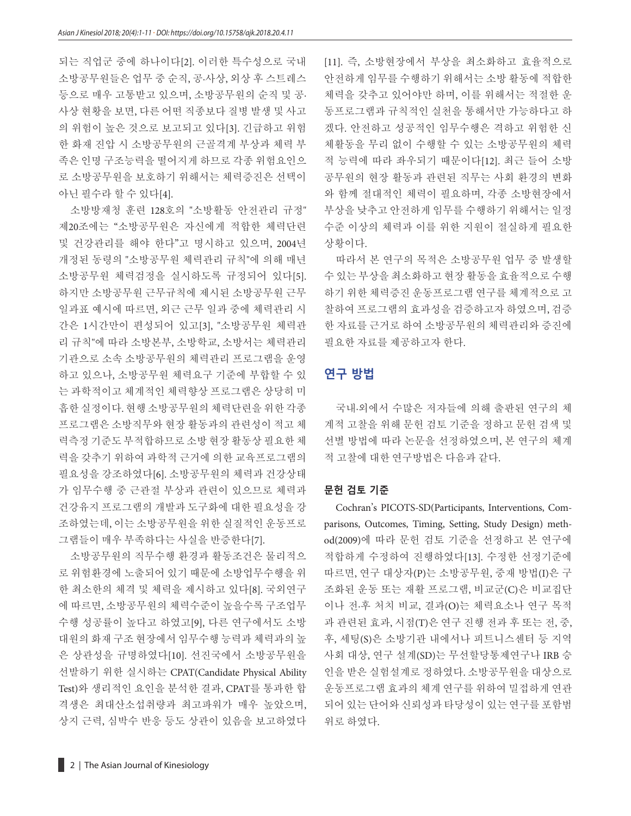되는 직업군 중에 하나이다[2]. 이러한 특수성으로 국내 소방공무원들은 업무 중 순직, 공·사상, 외상 후 스트레스 등으로 매우 고통받고 있으며, 소방공무원의 순직 및 공· 사상 현황을 보면, 다른 어떤 직종보다 질병 발생 및 사고 의 위험이 높은 것으로 보고되고 있다[3]. 긴급하고 위험 한 화재 진압 시 소방공무원의 근골격계 부상과 체력 부 족은 인명 구조능력을 떨어지게 하므로 각종 위험요인으 로 소방공무원을 보호하기 위해서는 체력증진은 선택이 아닌 필수라 할 수 있다[4].

소방방재청 훈련 128호의 "소방활동 안전관리 규정" 제20조에는 "소방공무원은 자신에게 적합한 체력단련 및 건강관리를 해야 한다"고 명시하고 있으며, 2004년 개정된 동령의 "소방공무원 체력관리 규칙"에 의해 매년 소방공무원 체력검정을 실시하도록 규정되어 있다[5]. 하지만 소방공무원 근무규칙에 제시된 소방공무원 근무 일과표 예시에 따르면, 외근 근무 일과 중에 체력관리 시 간은 1시간만이 편성되어 있고[3], "소방공무원 체력관 리 규칙"에 따라 소방본부, 소방학교, 소방서는 체력관리 기관으로 소속 소방공무원의 체력관리 프로그램을 운영 하고 있으나, 소방공무원 체력요구 기준에 부합할 수 있 는 과학적이고 체계적인 체력향상 프로그램은 상당히 미 흡한 실정이다. 현행 소방공무원의 체력단련을 위한 각종 프로그램은 소방직무와 현장 활동과의 관련성이 적고 체 력측정 기준도 부적합하므로 소방 현장 활동상 필요한 체 력을 갖추기 위하여 과학적 근거에 의한 교육프로그램의 필요성을 강조하였다[6]. 소방공무원의 체력과 건강상태 가 임무수행 중 근관절 부상과 관련이 있으므로 체력과 건강유지 프로그램의 개발과 도구화에 대한 필요성을 강 조하였는데, 이는 소방공무원을 위한 실질적인 운동프로 그램들이 매우 부족하다는 사실을 반증한다[7].

소방공무원의 직무수행 환경과 활동조건은 물리적으 로 위험환경에 노출되어 있기 때문에 소방업무수행을 위 한 최소한의 체격 및 체력을 제시하고 있다[8]. 국외연구 에 따르면, 소방공무원의 체력수준이 높을수록 구조업무 수행 성공률이 높다고 하였고[9], 다른 연구에서도 소방 대원의 화재 구조 현장에서 임무수행 능력과 체력과의 높 은 상관성을 규명하였다[10]. 선진국에서 소방공무원을 선발하기 위한 실시하는 CPAT(Candidate Physical Ability Test)와 생리적인 요인을 분석한 결과, CPAT를 통과한 합 격생은 최대산소섭취량과 최고파워가 매우 높았으며, 상지 근력, 심박수 반응 등도 상관이 있음을 보고하였다 [11]. 즉, 소방현장에서 부상을 최소화하고 효율적으로 안전하게 임무를 수행하기 위해서는 소방 활동에 적합한 체력을 갖추고 있어야만 하며, 이를 위해서는 적절한 운 동프로그램과 규칙적인 실천을 통해서만 가능하다고 하 겠다. 안전하고 성공적인 임무수행은 격하고 위험한 신 체활동을 무리 없이 수행할 수 있는 소방공무원의 체력 적 능력에 따라 좌우되기 때문이다[12]. 최근 들어 소방 공무원의 현장 활동과 관련된 직무는 사회 환경의 변화 와 함께 절대적인 체력이 필요하며, 각종 소방현장에서 부상을 낮추고 안전하게 임무를 수행하기 위해서는 일정 수준 이상의 체력과 이를 위한 지원이 절실하게 필요한 상황이다.

따라서 본 연구의 목적은 소방공무원 업무 중 발생할 수 있는 부상을 최소화하고 현장 활동을 효율적으로 수행 하기 위한 체력증진 운동프로그램 연구를 체계적으로 고 찰하여 프로그램의 효과성을 검증하고자 하였으며, 검증 한 자료를 근거로 하여 소방공무원의 체력관리와 증진에 필요한 자료를 제공하고자 한다.

#### **연구 방법**

국내·외에서 수많은 저자들에 의해 출판된 연구의 체 계적 고찰을 위해 문헌 검토 기준을 정하고 문헌 검색 및 선별 방법에 따라 논문을 선정하였으며, 본 연구의 체계 적 고찰에 대한 연구방법은 다음과 같다.

#### **문헌 검토 기준**

Cochran's PICOTS-SD(Participants, Interventions, Comparisons, Outcomes, Timing, Setting, Study Design) method(2009)에 따라 문헌 검토 기준을 선정하고 본 연구에 적합하게 수정하여 진행하였다[13]. 수정한 선정기준에 따르면, 연구 대상자(P)는 소방공무원, 중재 방법(I)은 구 조화된 운동 또는 재활 프로그램, 비교군(C)은 비교집단 이나 전·후 처치 비교, 결과(O)는 체력요소나 연구 목적 과 관련된 효과, 시점(T)은 연구 진행 전과 후 또는 전, 중, 후, 세팅(S)은 소방기관 내에서나 피트니스센터 등 지역 사회 대상, 연구 설계(SD)는 무선할당통제연구나 IRB 승 인을 받은 실험설계로 정하였다. 소방공무원을 대상으로 운동프로그램 효과의 체계 연구를 위하여 밀접하게 연관 되어 있는 단어와 신뢰성과 타당성이 있는 연구를 포함범 위로 하였다.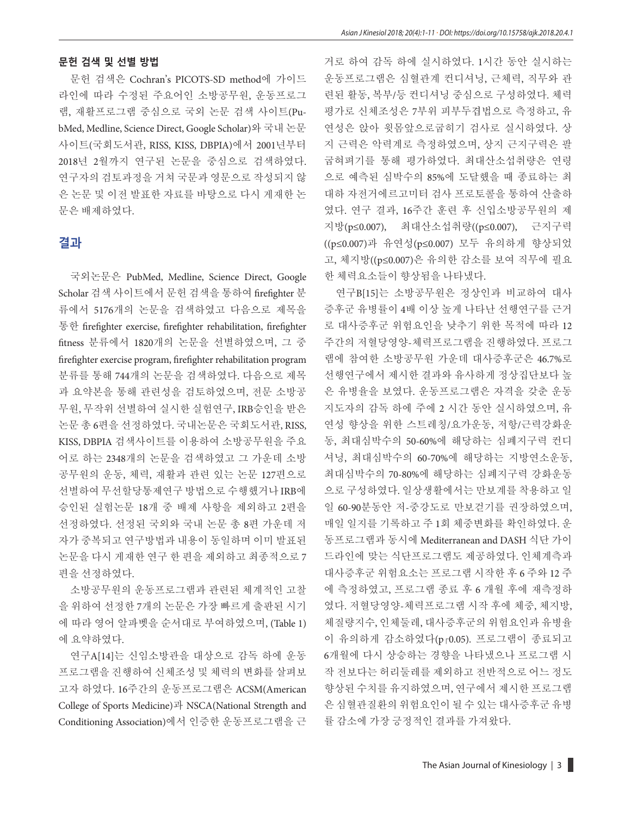#### **문헌 검색 및 선별 방법**

문헌 검색은 Cochran's PICOTS-SD method에 가이드 라인에 따라 수정된 주요어인 소방공무원, 운동프로그 램, 재활프로그램 중심으로 국외 논문 검색 사이트(PubMed, Medline, Science Direct, Google Scholar)와 국내 논문 사이트(국회도서관, RISS, KISS, DBPIA)에서 2001년부터 2018년 2월까지 연구된 논문을 중심으로 검색하였다. 연구자의 검토과정을 거쳐 국문과 영문으로 작성되지 않 은 논문 및 이전 발표한 자료를 바탕으로 다시 게재한 논 문은 배제하였다.

#### **결과**

국외논문은 PubMed, Medline, Science Direct, Google Scholar 검색 사이트에서 문헌 검색을 통하여 firefighter 분 류에서 5176개의 논문을 검색하였고 다음으로 제목을 통한 firefighter exercise, firefighter rehabilitation, firefighter fitness 분류에서 1820개의 논문을 선별하였으며, 그 중 firefighter exercise program, firefighter rehabilitation program 분류를 통해 744개의 논문을 검색하였다. 다음으로 제목 과 요약본을 통해 관련성을 검토하였으며, 전문 소방공 무원, 무작위 선별하여 실시한 실험연구, IRB승인을 받은 논문 총 6편을 선정하였다. 국내논문은 국회도서관, RISS, KISS, DBPIA 검색사이트를 이용하여 소방공무원을 주요 어로 하는 2348개의 논문을 검색하였고 그 가운데 소방 공무원의 운동, 체력, 재활과 관련 있는 논문 127편으로 선별하여 무선할당통제연구 방법으로 수행했거나 IRB에 승인된 실험논문 18개 중 배제 사항을 제외하고 2편을 선정하였다. 선정된 국외와 국내 논문 총 8편 가운데 저 자가 중복되고 연구방법과 내용이 동일하며 이미 발표된 논문을 다시 게재한 연구 한 편을 제외하고 최종적으로 7 편을 선정하였다.

소방공무원의 운동프로그램과 관련된 체계적인 고찰 을 위하여 선정한 7개의 논문은 가장 빠르게 출판된 시기 에 따라 영어 알파벳을 순서대로 부여하였으며, (Table 1) 에 요약하였다.

연구A[14]는 신임소방관을 대상으로 감독 하에 운동 프로그램을 진행하여 신체조성 및 체력의 변화를 살펴보 고자 하였다. 16주간의 운동프로그램은 ACSM(American College of Sports Medicine)과 NSCA(National Strength and Conditioning Association)에서 인증한 운동프로그램을 근

거로 하여 감독 하에 실시하였다. 1시간 동안 실시하는 운동프로그램은 심혈관계 컨디셔닝, 근체력, 직무와 관 련된 활동, 복부/등 컨디셔닝 중심으로 구성하였다. 체력 평가로 신체조성은 7부위 피부두겹법으로 측정하고, 유 연성은 앉아 윗몸앞으로굽히기 검사로 실시하였다. 상 지 근력은 악력계로 측정하였으며, 상지 근지구력은 팔 굽혀펴기를 통해 평가하였다. 최대산소섭취량은 연령 으로 예측된 심박수의 85%에 도달했을 때 종료하는 최 대하 자전거에르고미터 검사 프로토콜을 통하여 산출하 였다. 연구 결과, 16주간 훈련 후 신입소방공무원의 제 지방(p≤0.007), 최대산소섭취량((p≤0.007), 근지구력 ((p≤0.007)과 유연성(p≤0.007) 모두 유의하게 향상되었 고, 체지방((p≤0.007)은 유의한 감소를 보여 직무에 필요 한 체력요소들이 향상됨을 나타냈다.

연구B[15]는 소방공무원은 정상인과 비교하여 대사 증후군 유병률이 4배 이상 높게 나타난 선행연구를 근거 로 대사증후군 위험요인을 낮추기 위한 목적에 따라 12 주간의 저혈당영양-체력프로그램을 진행하였다. 프로그 램에 참여한 소방공무원 가운데 대사증후군은 46.7%로 선행연구에서 제시한 결과와 유사하게 정상집단보다 높 은 유병율을 보였다. 운동프로그램은 자격을 갖춘 운동 지도자의 감독 하에 주에 2 시간 동안 실시하였으며, 유 연성 향상을 위한 스트레칭/요가운동, 저항/근력강화운 동, 최대심박수의 50-60%에 해당하는 심폐지구력 컨디 셔닝, 최대심박수의 60-70%에 해당하는 지방연소운동, 최대심박수의 70-80%에 해당하는 심폐지구력 강화운동 으로 구성하였다. 일상생활에서는 만보계를 착용하고 일 일 60-90분동안 저-중강도로 만보걷기를 권장하였으며, 매일 일지를 기록하고 주 1회 체중변화를 확인하였다. 운 동프로그램과 동시에 Mediterranean and DASH 식단 가이 드라인에 맞는 식단프로그램도 제공하였다. 인체계측과 대사증후군 위험요소는 프로그램 시작한 후 6 주와 12 주 에 측정하였고, 프로그램 종료 후 6 개월 후에 재측정하 였다. 저혈당영양-체력프로그램 시작 후에 체중, 체지방, 체질량지수, 인체둘레, 대사증후군의 위험요인과 유병율 이 유의하게 감소하였다(pr0.05). 프로그램이 종료되고 6개월에 다시 상승하는 경향을 나타냈으나 프로그램 시 작 전보다는 허리둘레를 제외하고 전반적으로 어느 정도 향상된 수치를 유지하였으며, 연구에서 제시한 프로그램 은 심혈관질환의 위험요인이 될 수 있는 대사증후군 유병 률 감소에 가장 긍정적인 결과를 가져왔다.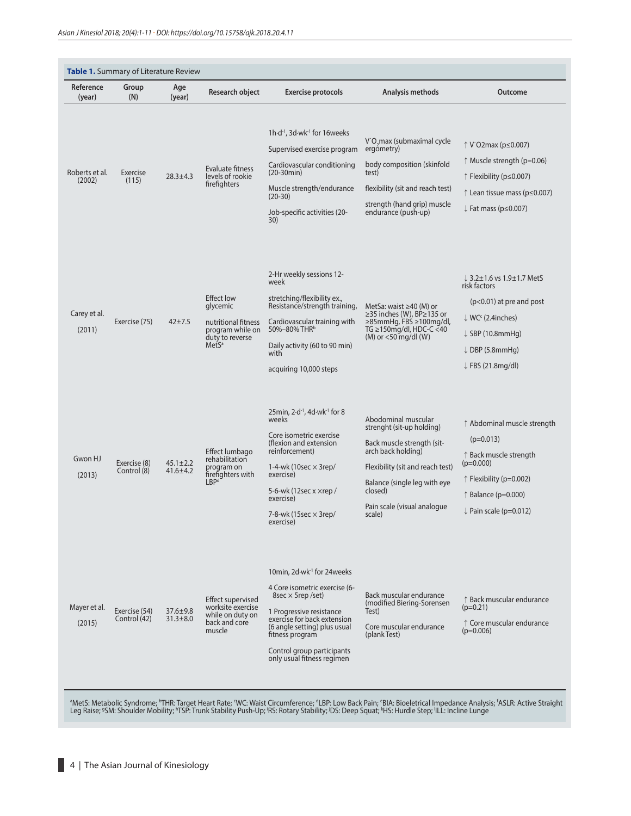| Reference<br>(year)      | Group<br>(N)                  | Age<br>(year)                    | Research object                                                                                                  | <b>Exercise protocols</b>                                                                                                                                                                                                                                                     | Analysis methods                                                                                                                                                                                                             | Outcome                                                                                                                                                                                                           |
|--------------------------|-------------------------------|----------------------------------|------------------------------------------------------------------------------------------------------------------|-------------------------------------------------------------------------------------------------------------------------------------------------------------------------------------------------------------------------------------------------------------------------------|------------------------------------------------------------------------------------------------------------------------------------------------------------------------------------------------------------------------------|-------------------------------------------------------------------------------------------------------------------------------------------------------------------------------------------------------------------|
| Roberts et al.<br>(2002) | Exercise<br>(115)             | $28.3 + 4.3$                     | Evaluate fitness<br>levels of rookie<br>firefighters                                                             | $1h \cdot d^{-1}$ , 3d $\cdot$ wk $^{-1}$ for 16 weeks<br>Supervised exercise program<br>Cardiovascular conditioning<br>$(20-30min)$<br>Muscle strength/endurance<br>$(20-30)$<br>Job-specific activities (20-<br>30)                                                         | V O max (submaximal cycle<br>ergometry)<br>body composition (skinfold<br>test)<br>flexibility (sit and reach test)<br>strength (hand grip) muscle<br>endurance (push-up)                                                     | ↑ V O2max (p ≤ 0.007)<br>$\uparrow$ Muscle strength (p=0.06)<br>↑ Flexibility (p≤0.007)<br>↑ Lean tissue mass (p ≤ 0.007)<br>$\downarrow$ Fat mass (p $\leq$ 0.007)                                               |
| Carey et al.<br>(2011)   | Exercise (75)                 | $42 + 7.5$                       | <b>Effect low</b><br>glycemic<br>nutritional fitness<br>program while on<br>duty to reverse<br>MetS <sup>a</sup> | 2-Hr weekly sessions 12-<br>week<br>stretching/flexibility ex.,<br>Resistance/strength training,<br>Cardiovascular training with<br>50%-80% THR <sup>b</sup><br>Daily activity (60 to 90 min)<br>with<br>acquiring 10,000 steps                                               | MetSa: waist ≥40 (M) or<br>≥35 inches (W), BP≥135 or<br>≥85mmHg, FBS ≥100mg/dl,<br>TG $\geq$ 150mg/dl, HDC-C <40<br>$(M)$ or $<$ 50 mg/dl $(W)$                                                                              | ↓ 3.2±1.6 vs 1.9±1.7 MetS<br>risk factors<br>$(p<0.01)$ at pre and post<br>$\downarrow$ WC <sup>c</sup> (2.4 inches)<br>$\downarrow$ SBP (10.8mmHg)<br>$\downarrow$ DBP (5.8mmHg)<br>$\downarrow$ FBS (21.8mg/dl) |
| Gwon HJ<br>(2013)        | Exercise (8)<br>Control (8)   | $45.1 \pm 2.2$<br>$41.6 \pm 4.2$ | Effect lumbago<br>rehabilitation<br>program on<br>firefighters with<br>LBP <sup>d</sup>                          | $25$ min, $2 \cdot d^{-1}$ , 4d $\cdot$ wk $^{-1}$ for 8<br>weeks<br>Core isometric exercise<br>(flexion and extension<br>reinforcement)<br>1-4-wk (10sec $\times$ 3rep/<br>exercise)<br>5-6-wk (12sec x ×rep /<br>exercise)<br>7-8-wk (15sec $\times$ 3rep/<br>exercise)     | Abodominal muscular<br>strenght (sit-up holding)<br>Back muscle strength (sit-<br>arch back holding)<br>Flexibility (sit and reach test)<br>Balance (single leg with eye<br>closed)<br>Pain scale (visual analogue<br>scale) | ↑ Abdominal muscle strength<br>$(p=0.013)$<br>↑ Back muscle strength<br>$(p=0.000)$<br>$\uparrow$ Flexibility (p=0.002)<br>$\uparrow$ Balance (p=0.000)<br>$\downarrow$ Pain scale (p=0.012)                      |
| Mayer et al.<br>(2015)   | Exercise (54)<br>Control (42) | $37.6 \pm 9.8$<br>$31.3 \pm 8.0$ | <b>Effect supervised</b><br>worksite exercise<br>while on duty on<br>back and core<br>muscle                     | 10min, 2d·wk <sup>-1</sup> for 24weeks<br>4 Core isometric exercise (6-<br>$8sec \times 5rep / set$<br>1 Progressive resistance<br>exercise for back extension<br>(6 angle setting) plus usual<br>fitness program<br>Control group participants<br>only usual fitness regimen | Back muscular endurance<br>(modified Biering-Sorensen<br>Test)<br>Core muscular endurance<br>(plank Test)                                                                                                                    | ↑ Back muscular endurance<br>$(p=0.21)$<br>↑ Core muscular endurance<br>$(p=0.006)$                                                                                                                               |

ªMetS: Metabolic Syndrome; ʰTHR: Target Heart Rate; ʿWC: Waist Circumference; ªLBP: Low Back Pain; °BIA: Bioeletrical Impedance Analysis; ˈ<br>Leg Raise; ºSM: Shoulder Mobility; ʰTSP: Trunk Stability Push-Up; ˈRS: Rotary Sta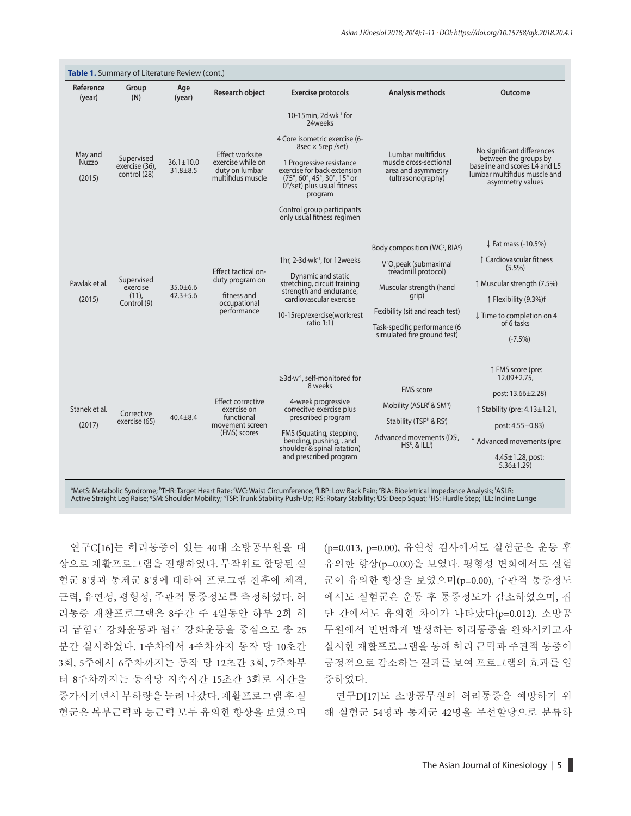| Table 1. Summary of Literature Review (cont.) |                                                   |                                   |                                                                                      |                                                                                                                                                                                                                                                                                                         |                                                                                                                                                                                                                                                          |                                                                                                                                                                                                                 |  |  |  |  |
|-----------------------------------------------|---------------------------------------------------|-----------------------------------|--------------------------------------------------------------------------------------|---------------------------------------------------------------------------------------------------------------------------------------------------------------------------------------------------------------------------------------------------------------------------------------------------------|----------------------------------------------------------------------------------------------------------------------------------------------------------------------------------------------------------------------------------------------------------|-----------------------------------------------------------------------------------------------------------------------------------------------------------------------------------------------------------------|--|--|--|--|
| Reference<br>(year)                           | Group<br>(N)                                      | Age<br>(year)                     | <b>Research object</b>                                                               | <b>Exercise protocols</b>                                                                                                                                                                                                                                                                               | Analysis methods                                                                                                                                                                                                                                         | Outcome                                                                                                                                                                                                         |  |  |  |  |
| May and<br>Nuzzo<br>(2015)                    | Supervised<br>exercise (36),<br>control (28)      | $36.1 \pm 10.0$<br>$31.8 \pm 8.5$ | Effect worksite<br>exercise while on<br>duty on lumbar<br>multifidus muscle          | 10-15 $min$ , 2d $·$ wk $-1$ for<br>24weeks<br>4 Core isometric exercise (6-<br>8sec $\times$ 5rep /set)<br>1 Progressive resistance<br>exercise for back extension<br>(75°, 60°, 45°, 30°, 15° or<br>0°/set) plus usual fitness<br>program<br>Control group participants<br>only usual fitness regimen | Lumbar multifidus<br>muscle cross-sectional<br>area and asymmetry<br>(ultrasonography)                                                                                                                                                                   | No significant differences<br>between the groups by<br>baseline and scores L4 and L5<br>lumbar multifidus muscle and<br>asymmetry values                                                                        |  |  |  |  |
| Pawlak et al.<br>(2015)                       | Supervised<br>exercise<br>$(11)$ ,<br>Control (9) | $35.0 \pm 6.6$<br>$42.3 + 5.6$    | Effect tactical on-<br>duty program on<br>fitness and<br>occupational<br>performance | 1hr, 2-3d·wk <sup>1</sup> , for 12weeks<br>Dynamic and static<br>stretching, circuit training<br>strength and endurance,<br>cardiovascular exercise<br>10-15rep/exercise(work:rest<br>ratio $1:1$ )                                                                                                     | Body composition (WC <sup>c</sup> , BIA <sup>e</sup> )<br>V O <sub>,</sub> peak (submaximal<br>treadmill protocol)<br>Muscular strength (hand<br>qrip)<br>Fexibility (sit and reach test)<br>Task-specific performance (6<br>simulated fire ground test) | $\downarrow$ Fat mass (-10.5%)<br>↑ Cardiovascular fitness<br>$(5.5\%)$<br>↑ Muscular strength (7.5%)<br>↑ Flexibility (9.3%)f<br>↓ Time to completion on 4<br>of 6 tasks<br>$(-7.5%)$                          |  |  |  |  |
| Stanek et al.<br>(2017)                       | Corrective<br>exercise (65)                       | $40.4 \pm 8.4$                    | Effect corrective<br>exercise on<br>functional<br>movement screen<br>(FMS) scores    | ≥3d·w <sup>-1</sup> , self-monitored for<br>8 weeks<br>4-week progressive<br>correcitve exercise plus<br>prescribed program<br>FMS (Squating, stepping,<br>bending, pushing, and<br>shoulder & spinal ratation)<br>and prescribed program                                                               | <b>FMS</b> score<br>Mobility (ASLR <sup>f</sup> & SM <sup>g</sup> )<br>Stability (TSP <sup>h</sup> & RS <sup>i</sup> )<br>Advanced movements (DS <sup>j</sup> ,<br>$HSk$ , & ILL <sup>I</sup> )                                                          | ↑ FMS score (pre:<br>$12.09 \pm 2.75$ ,<br>post: $13.66 \pm 2.28$<br>$\uparrow$ Stability (pre: 4.13±1.21,<br>post: $4.55 \pm 0.83$<br>↑ Advanced movements (pre:<br>$4.45 \pm 1.28$ , post:<br>$5.36 \pm 1.29$ |  |  |  |  |

ªMetS: Metabolic Syndrome; ʰTHR: Target Heart Rate; ʿWC: Waist Circumference; ªLBP: Low Back Pain; ªBIA: Bioeletrical Impedance Analysis; ʿASLR:<br>Active Straight Leg Raise; ºSM: Shoulder Mobility; ʰTSP: Trunk Stability Pus

연구C[16]는 허리통증이 있는 40대 소방공무원을 대 상으로 재활프로그램을 진행하였다. 무작위로 할당된 실 험군 8명과 통제군 8명에 대하여 프로그램 전후에 체격, 근력, 유연성, 평형성, 주관적 통증정도를 측정하였다. 허 리통증 재활프로그램은 8주간 주 4일동안 하루 2회 허 리 굽힘근 강화운동과 폄근 강화운동을 중심으로 총 25 분간 실시하였다. 1주차에서 4주차까지 동작 당 10초간 3회, 5주에서 6주차까지는 동작 당 12초간 3회, 7주차부 터 8주차까지는 동작당 지속시간 15초간 3회로 시간을 증가시키면서 부하량을 늘려 나갔다. 재활프로그램 후 실 험군은 복부근력과 등근력 모두 유의한 향상을 보였으며

(p=0.013, p=0.00), 유연성 검사에서도 실험군은 운동 후 유의한 향상(p=0.00)을 보였다. 평형성 변화에서도 실험 군이 유의한 향상을 보였으며(p=0.00), 주관적 통증정도 에서도 실험군은 운동 후 통증정도가 감소하였으며, 집 단 간에서도 유의한 차이가 나타났다(p=0.012). 소방공 무원에서 빈번하게 발생하는 허리통증을 완화시키고자 실시한 재활프로그램을 통해 허리 근력과 주관적 통증이 긍정적으로 감소하는 결과를 보여 프로그램의 효과를 입 증하였다.

연구D[17]도 소방공무원의 허리통증을 예방하기 위 해 실험군 54명과 통제군 42명을 무선할당으로 분류하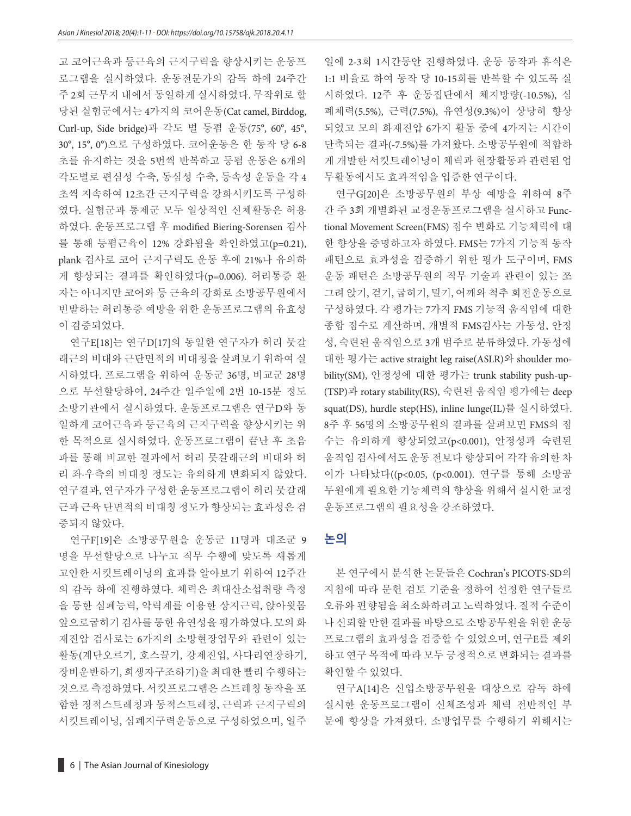고 코어근육과 등근육의 근지구력을 향상시키는 운동프 로그램을 실시하였다. 운동전문가의 감독 하에 24주간 주 2회 근무지 내에서 동일하게 실시하였다. 무작위로 할 당된 실험군에서는 4가지의 코어운동(Cat camel, Birddog, Curl-up, Side bridge)과 각도 별 등폄 운동(75°, 60°, 45°, 30°, 15°, 0°)으로 구성하였다. 코어운동은 한 동작 당 6-8 초를 유지하는 것을 5번씩 반복하고 등폄 운동은 6개의 각도별로 편심성 수축, 동심성 수축, 등속성 운동을 각 4 초씩 지속하여 12초간 근지구력을 강화시키도록 구성하 였다. 실험군과 통제군 모두 일상적인 신체활동은 허용 하였다. 운동프로그램 후 modified Biering-Sorensen 검사 를 통해 등폄근육이 12% 강화됨을 확인하였고(p=0.21), plank 검사로 코어 근지구력도 운동 후에 21%나 유의하 게 향상되는 결과를 확인하였다(p=0.006). 허리통증 환 자는 아니지만 코어와 등 근육의 강화로 소방공무원에서 빈발하는 허리통증 예방을 위한 운동프로그램의 유효성 이 검증되었다.

연구E[18]는 연구D[17]의 동일한 연구자가 허리 뭇갈 래근의 비대와 근단면적의 비대칭을 살펴보기 위하여 실 시하였다. 프로그램을 위하여 운동군 36명, 비교군 28명 으로 무선할당하여, 24주간 일주일에 2번 10-15분 정도 소방기관에서 실시하였다. 운동프로그램은 연구D와 동 일하게 코어근육과 등근육의 근지구력을 향상시키는 위 한 목적으로 실시하였다. 운동프로그램이 끝난 후 초음 파를 통해 비교한 결과에서 허리 뭇갈래근의 비대와 허 리 좌·우측의 비대칭 정도는 유의하게 변화되지 않았다. 연구결과, 연구자가 구성한 운동프로그램이 허리 뭇갈래 근과 근육 단면적의 비대칭 정도가 향상되는 효과성은 검 증되지 않았다.

연구F[19]은 소방공무원을 운동군 11명과 대조군 9 명을 무선할당으로 나누고 직무 수행에 맞도록 새롭게 고안한 서킷트레이닝의 효과를 알아보기 위하여 12주간 의 감독 하에 진행하였다. 체력은 최대산소섭취량 측정 을 통한 심폐능력, 악력계를 이용한 상지근력, 앉아윗몸 앞으로굽히기 검사를 통한 유연성을 평가하였다. 모의 화 재진압 검사로는 6가지의 소방현장업무와 관련이 있는 활동(계단오르기, 호스끌기, 강제진입, 사다리연장하기, 장비운반하기, 희생자구조하기)을 최대한 빨리 수행하는 것으로 측정하였다. 서킷프로그램은 스트레칭 동작을 포 함한 정적스트레칭과 동적스트레칭, 근력과 근지구력의 서킷트레이닝, 심폐지구력운동으로 구성하였으며, 일주

일에 2-3회 1시간동안 진행하였다. 운동 동작과 휴식은 1:1 비율로 하여 동작 당 10-15회를 반복할 수 있도록 실 시하였다. 12주 후 운동집단에서 체지방량(-10.5%), 심 폐체력(5.5%), 근력(7.5%), 유연성(9.3%)이 상당히 향상 되었고 모의 화재진압 6가지 활동 중에 4가지는 시간이 단축되는 결과(-7.5%)를 가져왔다. 소방공무원에 적합하 게 개발한 서킷트레이닝이 체력과 현장활동과 관련된 업 무활동에서도 효과적임을 입증한 연구이다.

연구G[20]은 소방공무원의 부상 예방을 위하여 8주 간 주 3회 개별화된 교정운동프로그램을 실시하고 Functional Movement Screen(FMS) 점수 변화로 기능체력에 대 한 향상을 증명하고자 하였다. FMS는 7가지 기능적 동작 패턴으로 효과성을 검증하기 위한 평가 도구이며, FMS 운동 패턴은 소방공무원의 직무 기술과 관련이 있는 쪼 그려 앉기, 걷기, 굽히기, 밀기, 어깨와 척추 회전운동으로 구성하였다. 각 평가는 7가지 FMS 기능적 움직임에 대한 종합 점수로 계산하며, 개별적 FMS검사는 가동성, 안정 성, 숙련된 움직임으로 3개 범주로 분류하였다. 가동성에 대한 평가는 active straight leg raise(ASLR)와 shoulder mobility(SM), 안정성에 대한 평가는 trunk stability push-up- (TSP)과 rotary stability(RS), 숙련된 움직임 평가에는 deep squat(DS), hurdle step(HS), inline lunge(IL)를 실시하였다. 8주 후 56명의 소방공무원의 결과를 살펴보면 FMS의 점 수는 유의하게 향상되었고(p<0.001), 안정성과 숙련된 움직임 검사에서도 운동 전보다 향상되어 각각 유의한 차 이가 나타났다((p<0.05, (p<0.001). 연구를 통해 소방공 무원에게 필요한 기능체력의 향상을 위해서 실시한 교정 운동프로그램의 필요성을 강조하였다.

#### **논의**

본 연구에서 분석한 논문들은 Cochran's PICOTS-SD의 지침에 따라 문헌 검토 기준을 정하여 선정한 연구들로 오류와 편향됨을 최소화하려고 노력하였다. 질적 수준이 나 신뢰할 만한 결과를 바탕으로 소방공무원을 위한 운동 프로그램의 효과성을 검증할 수 있었으며, 연구E를 제외 하고 연구 목적에 따라 모두 긍정적으로 변화되는 결과를 확인할 수 있었다.

연구A[14]은 신입소방공무원을 대상으로 감독 하에 실시한 운동프로그램이 신체조성과 체력 전반적인 부 분에 향상을 가져왔다. 소방업무를 수행하기 위해서는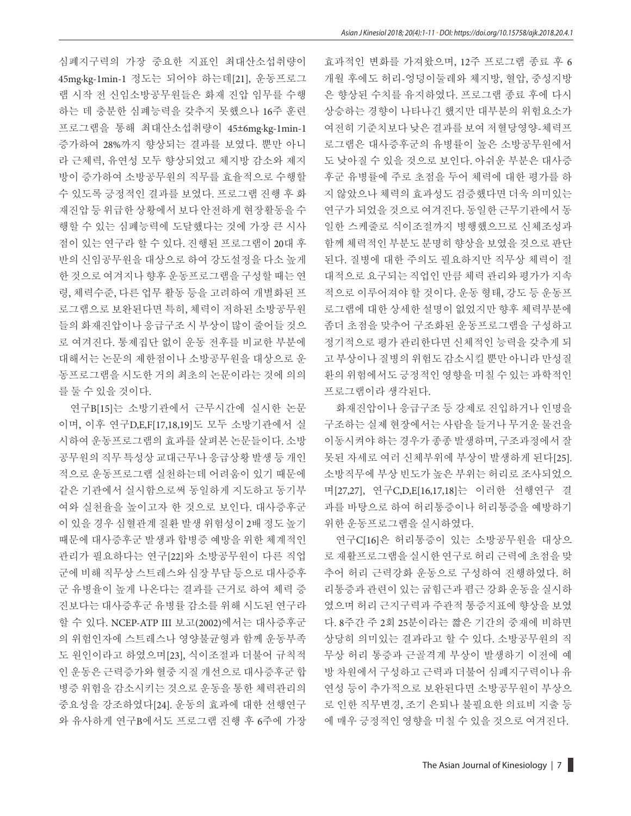심폐지구력의 가장 중요한 지표인 최대산소섭취량이 45mg·kg-1min-1 정도는 되어야 하는데[21], 운동프로그 램 시작 전 신임소방공무원들은 화재 진압 임무를 수행 하는 데 충분한 심폐능력을 갖추지 못했으나 16주 훈련 프로그램을 통해 최대산소섭취량이 45±6mg·kg-1min-1 증가하여 28%까지 향상되는 결과를 보였다. 뿐만 아니 라 근체력, 유연성 모두 향상되었고 체지방 감소와 제지 방이 증가하여 소방공무원의 직무를 효율적으로 수행할 수 있도록 긍정적인 결과를 보였다. 프로그램 진행 후 화 재진압 등 위급한 상황에서 보다 안전하게 현장활동을 수 행할 수 있는 심폐능력에 도달했다는 것에 가장 큰 시사 점이 있는 연구라 할 수 있다. 진행된 프로그램이 20대 후 반의 신임공무원을 대상으로 하여 강도설정을 다소 높게 한 것으로 여겨지나 향후 운동프로그램을 구성할 때는 연 령, 체력수준, 다른 업무 활동 등을 고려하여 개별화된 프 로그램으로 보완된다면 특히, 체력이 저하된 소방공무원 들의 화재진압이나 응급구조 시 부상이 많이 줄어들 것으 로 여겨진다. 통제집단 없이 운동 전후를 비교한 부분에 대해서는 논문의 제한점이나 소방공무원을 대상으로 운 동프로그램을 시도한 거의 최초의 논문이라는 것에 의의 를 둘 수 있을 것이다.

연구B[15]는 소방기관에서 근무시간에 실시한 논문 이며, 이후 연구D,E,F[17,18,19]도 모두 소방기관에서 실 시하여 운동프로그램의 효과를 살펴본 논문들이다. 소방 공무원의 직무 특성상 교대근무나 응급상황 발생 등 개인 적으로 운동프로그램 실천하는데 어려움이 있기 때문에 같은 기관에서 실시함으로써 동일하게 지도하고 동기부 여와 실천율을 높이고자 한 것으로 보인다. 대사증후군 이 있을 경우 심혈관계 질환 발생 위험성이 2배 정도 높기 때문에 대사증후군 발생과 합병증 예방을 위한 체계적인 관리가 필요하다는 연구[22]와 소방공무원이 다른 직업 군에 비해 직무상 스트레스와 심장 부담 등으로 대사증후 군 유병율이 높게 나온다는 결과를 근거로 하여 체력 증 진보다는 대사증후군 유병률 감소를 위해 시도된 연구라 할 수 있다. NCEP-ATP III 보고(2002)에서는 대사증후군 의 위험인자에 스트레스나 영양불균형과 함께 운동부족 도 원인이라고 하였으며[23], 식이조절과 더불어 규칙적 인 운동은 근력증가와 혈중 지질 개선으로 대사증후군 합 병증 위험을 감소시키는 것으로 운동을 통한 체력관리의 중요성을 강조하였다[24]. 운동의 효과에 대한 선행연구 와 유사하게 연구B에서도 프로그램 진행 후 6주에 가장 효과적인 변화를 가져왔으며, 12주 프로그램 종료 후 6 개월 후에도 허리-엉덩이둘레와 체지방, 혈압, 중성지방 은 향상된 수치를 유지하였다. 프로그램 종료 후에 다시 상승하는 경향이 나타나긴 했지만 대부분의 위험요소가 여전히 기준치보다 낮은 결과를 보여 저혈당영양-체력프 로그램은 대사증후군의 유병률이 높은 소방공무원에서 도 낮아질 수 있을 것으로 보인다. 아쉬운 부분은 대사증 후군 유병률에 주로 초점을 두어 체력에 대한 평가를 하 지 않았으나 체력의 효과성도 검증했다면 더욱 의미있는 연구가 되었을 것으로 여겨진다. 동일한 근무기관에서 동 일한 스케줄로 식이조절까지 병행했으므로 신체조성과 함께 체력적인 부분도 분명히 향상을 보였을 것으로 판단 된다. 질병에 대한 주의도 필요하지만 직무상 체력이 절 대적으로 요구되는 직업인 만큼 체력 관리와 평가가 지속 적으로 이루어져야 할 것이다. 운동 형태, 강도 등 운동프 로그램에 대한 상세한 설명이 없었지만 향후 체력부분에 좀더 초점을 맞추어 구조화된 운동프로그램을 구성하고 정기적으로 평가 관리한다면 신체적인 능력을 갖추게 되 고 부상이나 질병의 위험도 감소시킬 뿐만 아니라 만성질 환의 위험에서도 긍정적인 영향을 미칠 수 있는 과학적인 프로그램이라 생각된다.

화재진압이나 응급구조 등 강제로 진입하거나 인명을 구조하는 실제 현장에서는 사람을 들거나 무거운 물건을 이동시켜야 하는 경우가 종종 발생하며, 구조과정에서 잘 못된 자세로 여러 신체부위에 부상이 발생하게 된다[25]. 소방직무에 부상 빈도가 높은 부위는 허리로 조사되었으 며[27,27], 연구C,D,E[16,17,18]는 이러한 선행연구 결 과를 바탕으로 하여 허리통증이나 허리통증을 예방하기 위한 운동프로그램을 실시하였다.

연구C[16]은 허리통증이 있는 소방공무원을 대상으 로 재활프로그램을 실시한 연구로 허리 근력에 초점을 맞 추어 허리 근력강화 운동으로 구성하여 진행하였다. 허 리통증과 관련이 있는 굽힘근과 폄근 강화 운동을 실시하 였으며 허리 근지구력과 주관적 통증지표에 향상을 보였 다. 8주간 주 2회 25분이라는 짧은 기간의 중재에 비하면 상당히 의미있는 결과라고 할 수 있다. 소방공무원의 직 무상 허리 통증과 근골격계 부상이 발생하기 이전에 예 방 차원에서 구성하고 근력과 더불어 심폐지구력이나 유 연성 등이 추가적으로 보완된다면 소방공무원이 부상으 로 인한 직무변경, 조기 은퇴나 불필요한 의료비 지출 등 에 매우 긍정적인 영향을 미칠 수 있을 것으로 여겨진다.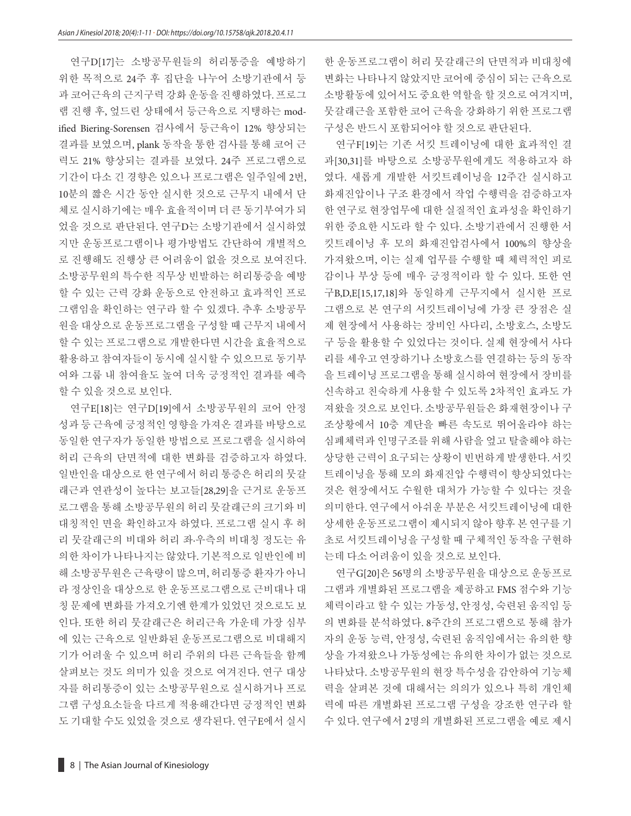연구D[17]는 소방공무원들의 허리통증을 예방하기 위한 목적으로 24주 후 집단을 나누어 소방기관에서 등 과 코어근육의 근지구력 강화 운동을 진행하였다. 프로그 램 진행 후, 엎드린 상태에서 등근육으로 지탱하는 modified Biering-Sorensen 검사에서 등근육이 12% 향상되는 결과를 보였으며, plank 동작을 통한 검사를 통해 코어 근 력도 21% 향상되는 결과를 보였다. 24주 프로그램으로 기간이 다소 긴 경향은 있으나 프로그램은 일주일에 2번, 10분의 짧은 시간 동안 실시한 것으로 근무지 내에서 단 체로 실시하기에는 매우 효율적이며 더 큰 동기부여가 되 었을 것으로 판단된다. 연구D는 소방기관에서 실시하였 지만 운동프로그램이나 평가방법도 간단하여 개별적으 로 진행해도 진행상 큰 어려움이 없을 것으로 보여진다. 소방공무원의 특수한 직무상 빈발하는 허리통증을 예방 할 수 있는 근력 강화 운동으로 안전하고 효과적인 프로 그램임을 확인하는 연구라 할 수 있겠다. 추후 소방공무 원을 대상으로 운동프로그램을 구성할 때 근무지 내에서 할 수 있는 프로그램으로 개발한다면 시간을 효율적으로 활용하고 참여자들이 동시에 실시할 수 있으므로 동기부 여와 그룹 내 참여율도 높여 더욱 긍정적인 결과를 예측 할 수 있을 것으로 보인다.

연구E[18]는 연구D[19]에서 소방공무원의 코어 안정 성과 등 근육에 긍정적인 영향을 가져온 결과를 바탕으로 동일한 연구자가 동일한 방법으로 프로그램을 실시하여 허리 근육의 단면적에 대한 변화를 검증하고자 하였다. 일반인을 대상으로 한 연구에서 허리 통증은 허리의 뭇갈 래근과 연관성이 높다는 보고들[28,29]을 근거로 운동프 로그램을 통해 소방공무원의 허리 뭇갈래근의 크기와 비 대칭적인 면을 확인하고자 하였다. 프로그램 실시 후 허 리 뭇갈래근의 비대와 허리 좌·우측의 비대칭 정도는 유 의한 차이가 나타나지는 않았다. 기본적으로 일반인에 비 해 소방공무원은 근육량이 많으며, 허리통증 환자가 아니 라 정상인을 대상으로 한 운동프로그램으로 근비대나 대 칭 문제에 변화를 가져오기엔 한계가 있었던 것으로도 보 인다. 또한 허리 뭇갈래근은 허리근육 가운데 가장 심부 에 있는 근육으로 일반화된 운동프로그램으로 비대해지 기가 어려울 수 있으며 허리 주위의 다른 근육들을 함께 살펴보는 것도 의미가 있을 것으로 여겨진다. 연구 대상 자를 허리통증이 있는 소방공무원으로 실시하거나 프로 그램 구성요소들을 다르게 적용해간다면 긍정적인 변화 도 기대할 수도 있었을 것으로 생각된다. 연구E에서 실시

한 운동프로그램이 허리 뭇갈래근의 단면적과 비대칭에 변화는 나타나지 않았지만 코어에 중심이 되는 근육으로 소방활동에 있어서도 중요한 역할을 할 것으로 여겨지며, 뭇갈래근을 포함한 코어 근육을 강화하기 위한 프로그램 구성은 반드시 포함되어야 할 것으로 판단된다.

연구F[19]는 기존 서킷 트레이닝에 대한 효과적인 결 과[30,31]를 바탕으로 소방공무원에게도 적용하고자 하 였다. 새롭게 개발한 서킷트레이닝을 12주간 실시하고 화재진압이나 구조 환경에서 작업 수행력을 검증하고자 한 연구로 현장업무에 대한 실질적인 효과성을 확인하기 위한 중요한 시도라 할 수 있다. 소방기관에서 진행한 서 킷트레이닝 후 모의 화재진압검사에서 100%의 향상을 가져왔으며, 이는 실제 업무를 수행할 때 체력적인 피로 감이나 부상 등에 매우 긍정적이라 할 수 있다. 또한 연 구B,D,E[15,17,18]와 동일하게 근무지에서 실시한 프로 그램으로 본 연구의 서킷트레이닝에 가장 큰 장점은 실 제 현장에서 사용하는 장비인 사다리, 소방호스, 소방도 구 등을 활용할 수 있었다는 것이다. 실제 현장에서 사다 리를 세우고 연장하기나 소방호스를 연결하는 등의 동작 을 트레이닝 프로그램을 통해 실시하여 현장에서 장비를 신속하고 친숙하게 사용할 수 있도록 2차적인 효과도 가 져왔을 것으로 보인다. 소방공무원들은 화재현장이나 구 조상황에서 10층 계단을 빠른 속도로 뛰어올라야 하는 심폐체력과 인명구조를 위해 사람을 엎고 탈출해야 하는 상당한 근력이 요구되는 상황이 빈번하게 발생한다. 서킷 트레이닝을 통해 모의 화재진압 수행력이 향상되었다는 것은 현장에서도 수월한 대처가 가능할 수 있다는 것을 의미한다. 연구에서 아쉬운 부분은 서킷트레이닝에 대한 상세한 운동프로그램이 제시되지 않아 향후 본 연구를 기 초로 서킷트레이닝을 구성할 때 구체적인 동작을 구현하 는데 다소 어려움이 있을 것으로 보인다.

연구G[20]은 56명의 소방공무원을 대상으로 운동프로 그램과 개별화된 프로그램을 제공하고 FMS 점수와 기능 체력이라고 할 수 있는 가동성, 안정성, 숙련된 움직임 등 의 변화를 분석하였다. 8주간의 프로그램으로 통해 참가 자의 운동 능력, 안정성, 숙련된 움직임에서는 유의한 향 상을 가져왔으나 가동성에는 유의한 차이가 없는 것으로 나타났다. 소방공무원의 현장 특수성을 감안하여 기능체 력을 살펴본 것에 대해서는 의의가 있으나 특히 개인체 력에 따른 개별화된 프로그램 구성을 강조한 연구라 할 수 있다. 연구에서 2명의 개별화된 프로그램을 예로 제시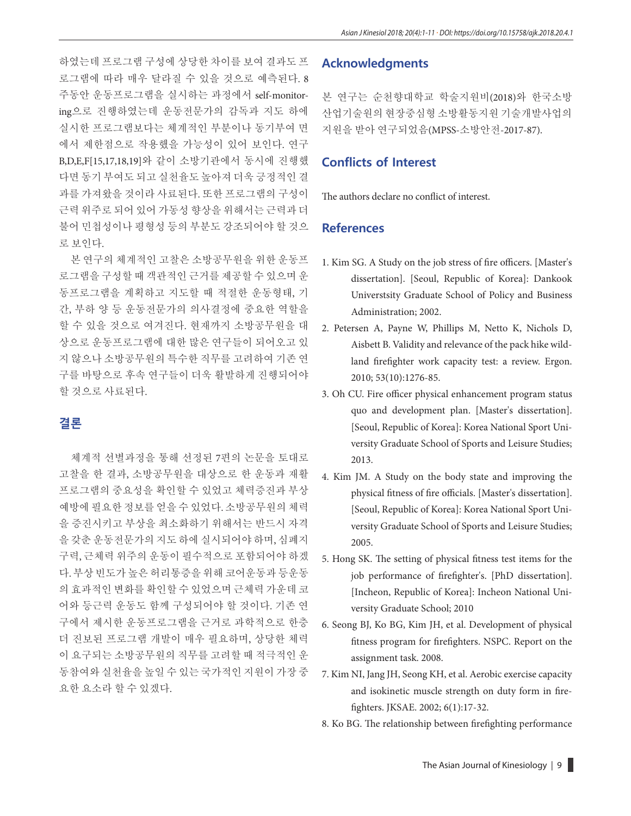하였는데 프로그램 구성에 상당한 차이를 보여 결과도 프 로그램에 따라 매우 달라질 수 있을 것으로 예측된다. 8 주동안 운동프로그램을 실시하는 과정에서 self-monitoring으로 진행하였는데 운동전문가의 감독과 지도 하에 실시한 프로그램보다는 체계적인 부분이나 동기부여 면 에서 제한점으로 작용했을 가능성이 있어 보인다. 연구 B,D,E,F[15,17,18,19]와 같이 소방기관에서 동시에 진행했 다면 동기 부여도 되고 실천율도 높아져 더욱 긍정적인 결 과를 가져왔을 것이라 사료된다. 또한 프로그램의 구성이 근력 위주로 되어 있어 가동성 향상을 위해서는 근력과 더 불어 민첩성이나 평형성 등의 부분도 강조되어야 할 것으 로 보인다.

본 연구의 체계적인 고찰은 소방공무원을 위한 운동프 로그램을 구성할 때 객관적인 근거를 제공할 수 있으며 운 동프로그램을 계획하고 지도할 때 적절한 운동형태, 기 간, 부하 양 등 운동전문가의 의사결정에 중요한 역할을 할 수 있을 것으로 여겨진다. 현재까지 소방공무원을 대 상으로 운동프로그램에 대한 많은 연구들이 되어오고 있 지 않으나 소방공무원의 특수한 직무를 고려하여 기존 연 구를 바탕으로 후속 연구들이 더욱 활발하게 진행되어야 할 것으로 사료된다.

### **결론**

체계적 선별과정을 통해 선정된 7편의 논문을 토대로 고찰을 한 결과, 소방공무원을 대상으로 한 운동과 재활 프로그램의 중요성을 확인할 수 있었고 체력증진과 부상 예방에 필요한 정보를 얻을 수 있었다. 소방공무원의 체력 을 증진시키고 부상을 최소화하기 위해서는 반드시 자격 을 갖춘 운동전문가의 지도 하에 실시되어야 하며, 심폐지 구력, 근체력 위주의 운동이 필수적으로 포함되어야 하겠 다. 부상 빈도가 높은 허리통증을 위해 코어운동과 등운동 의 효과적인 변화를 확인할 수 있었으며 근체력 가운데 코 어와 등근력 운동도 함께 구성되어야 할 것이다. 기존 연 구에서 제시한 운동프로그램을 근거로 과학적으로 한층 더 진보된 프로그램 개발이 매우 필요하며, 상당한 체력 이 요구되는 소방공무원의 직무를 고려할 때 적극적인 운 동참여와 실천율을 높일 수 있는 국가적인 지원이 가장 중 요한 요소라 할 수 있겠다.

#### **Acknowledgments**

본 연구는 순천향대학교 학술지원비(2018)와 한국소방 산업기술원의현장중심형소방활동지원기술개발사업의 지원을 받아 연구되었음(MPSS-소방안전-2017-87).

#### **Conflicts of Interest**

The authors declare no conflict of interest.

#### **References**

- 1. Kim SG. A Study on the job stress of fire officers. [Master's dissertation]. [Seoul, Republic of Korea]: Dankook Universtsity Graduate School of Policy and Business Administration; 2002.
- 2. Petersen A, Payne W, Phillips M, Netto K, Nichols D, Aisbett B. Validity and relevance of the pack hike wildland firefighter work capacity test: a review. Ergon. 2010; 53(10):1276-85.
- 3. Oh CU. Fire officer physical enhancement program status quo and development plan. [Master's dissertation]. [Seoul, Republic of Korea]: Korea National Sport University Graduate School of Sports and Leisure Studies; 2013.
- 4. Kim JM. A Study on the body state and improving the physical fitness of fire officials. [Master's dissertation]. [Seoul, Republic of Korea]: Korea National Sport University Graduate School of Sports and Leisure Studies; 2005.
- 5. Hong SK. The setting of physical fitness test items for the job performance of firefighter's. [PhD dissertation]. [Incheon, Republic of Korea]: Incheon National University Graduate School; 2010
- 6. Seong BJ, Ko BG, Kim JH, et al. Development of physical fitness program for firefighters. NSPC. Report on the assignment task. 2008.
- 7. Kim NI, Jang JH, Seong KH, et al. Aerobic exercise capacity and isokinetic muscle strength on duty form in firefighters. JKSAE. 2002; 6(1):17-32.
- 8. Ko BG. The relationship between firefighting performance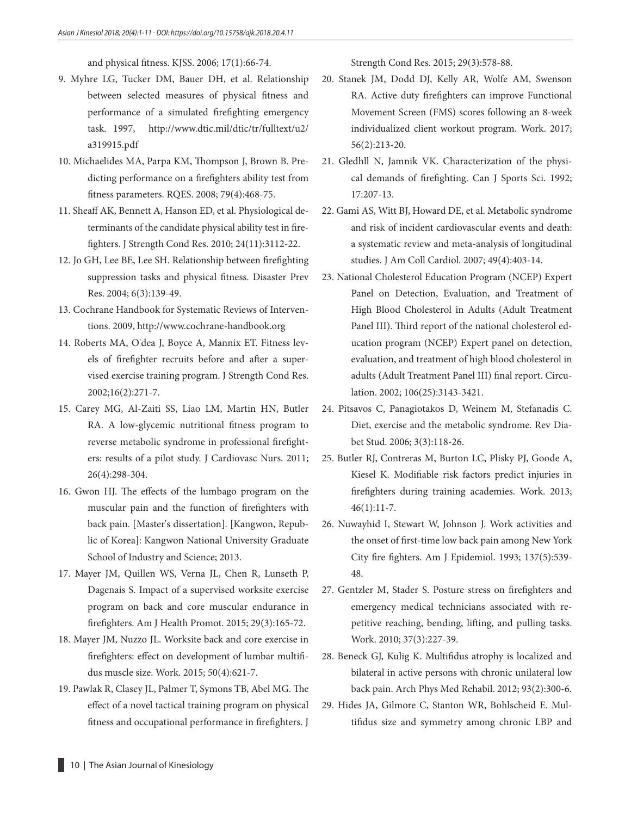and physical fitness. KJSS. 2006; 17(1):66-74.

- 9. Myhre LG, Tucker DM, Bauer DH, et al. Relationship between selected measures of physical fitness and performance of a simulated firefighting emergency task. 1997, http://www.dtic.mil/dtic/tr/fulltext/u2/ a319915.pdf
- 10. Michaelides MA, Parpa KM, Thompson J, Brown B. Predicting performance on a firefighters ability test from fitness parameters. RQES. 2008; 79(4):468-75.
- 11. Sheaff AK, Bennett A, Hanson ED, et al. Physiological determinants of the candidate physical ability test in firefighters. J Strength Cond Res. 2010; 24(11):3112-22.
- 12. Jo GH, Lee BE, Lee SH. Relationship between firefighting suppression tasks and physical fitness. Disaster Prev Res. 2004; 6(3):139-49.
- 13. Cochrane Handbook for Systematic Reviews of Interventions. 2009, http://www.cochrane-handbook.org
- 14. Roberts MA, O'dea J, Boyce A, Mannix ET. Fitness levels of firefighter recruits before and after a supervised exercise training program. J Strength Cond Res. 2002;16(2):271-7.
- 15. Carey MG, Al-Zaiti SS, Liao LM, Martin HN, Butler RA. A low-glycemic nutritional fitness program to reverse metabolic syndrome in professional firefighters: results of a pilot study. J Cardiovasc Nurs. 2011; 26(4):298-304.
- 16. Gwon HJ. The effects of the lumbago program on the muscular pain and the function of firefighters with back pain. [Master's dissertation]. [Kangwon, Republic of Korea]: Kangwon National University Graduate School of Industry and Science; 2013.
- 17. Mayer JM, Quillen WS, Verna JL, Chen R, Lunseth P, Dagenais S. Impact of a supervised worksite exercise program on back and core muscular endurance in firefighters. Am J Health Promot. 2015; 29(3):165-72.
- 18. Mayer JM, Nuzzo JL. Worksite back and core exercise in firefighters: effect on development of lumbar multifidus muscle size. Work. 2015; 50(4):621-7.
- 19. Pawlak R, Clasey JL, Palmer T, Symons TB, Abel MG. The effect of a novel tactical training program on physical fitness and occupational performance in firefighters. J

Strength Cond Res. 2015; 29(3):578-88.

- 20. Stanek JM, Dodd DJ, Kelly AR, Wolfe AM, Swenson RA. Active duty firefighters can improve Functional Movement Screen (FMS) scores following an 8-week individualized client workout program. Work. 2017; 56(2):213-20.
- 21. Gledhll N, Jamnik VK. Characterization of the physical demands of firefighting. Can J Sports Sci. 1992; 17:207-13.
- 22. Gami AS, Witt BJ, Howard DE, et al. Metabolic syndrome and risk of incident cardiovascular events and death: a systematic review and meta-analysis of longitudinal studies. J Am Coll Cardiol. 2007; 49(4):403-14.
- 23. National Cholesterol Education Program (NCEP) Expert Panel on Detection, Evaluation, and Treatment of High Blood Cholesterol in Adults (Adult Treatment Panel III). Third report of the national cholesterol education program (NCEP) Expert panel on detection, evaluation, and treatment of high blood cholesterol in adults (Adult Treatment Panel III) final report. Circulation. 2002; 106(25):3143-3421.
- 24. Pitsavos C, Panagiotakos D, Weinem M, Stefanadis C. Diet, exercise and the metabolic syndrome. Rev Diabet Stud. 2006; 3(3):118-26.
- 25. Butler RJ, Contreras M, Burton LC, Plisky PJ, Goode A, Kiesel K. Modifiable risk factors predict injuries in firefighters during training academies. Work. 2013;  $46(1):11-7.$
- 26. Nuwayhid I, Stewart W, Johnson J. Work activities and the onset of first-time low back pain among New York City fire fighters. Am J Epidemiol. 1993; 137(5):539- 48.
- 27. Gentzler M, Stader S. Posture stress on firefighters and emergency medical technicians associated with repetitive reaching, bending, lifting, and pulling tasks. Work. 2010; 37(3):227-39.
- 28. Beneck GJ, Kulig K. Multifidus atrophy is localized and bilateral in active persons with chronic unilateral low back pain. Arch Phys Med Rehabil. 2012; 93(2):300-6.
- 29. Hides JA, Gilmore C, Stanton WR, Bohlscheid E. Multifidus size and symmetry among chronic LBP and